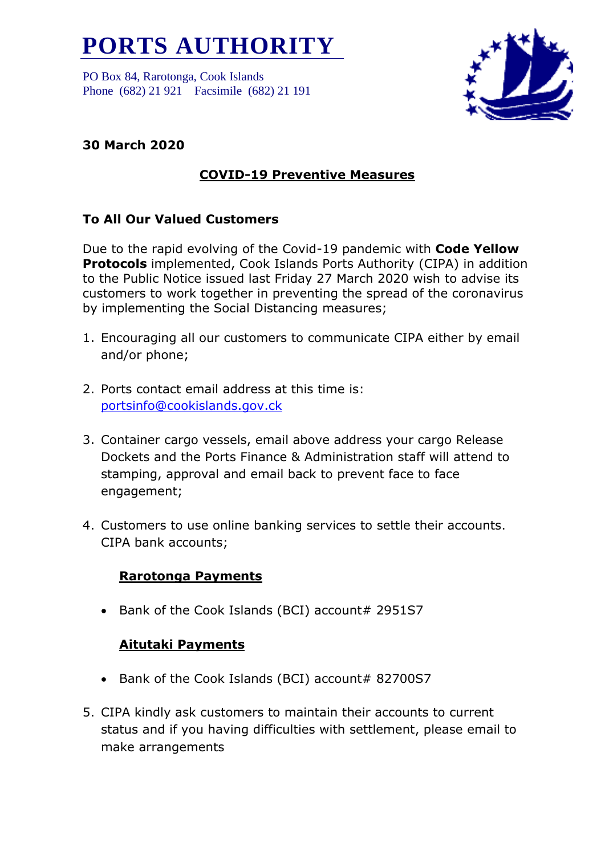# **PORTS AUTHORITY**

PO Box 84, Rarotonga, Cook Islands Phone (682) 21 921 Facsimile (682) 21 191



## **30 March 2020**

## **COVID-19 Preventive Measures**

### **To All Our Valued Customers**

Due to the rapid evolving of the Covid-19 pandemic with **Code Yellow Protocols** implemented, Cook Islands Ports Authority (CIPA) in addition to the Public Notice issued last Friday 27 March 2020 wish to advise its customers to work together in preventing the spread of the coronavirus by implementing the Social Distancing measures;

- 1. Encouraging all our customers to communicate CIPA either by email and/or phone;
- 2. Ports contact email address at this time is: [portsinfo@cookislands.gov.ck](mailto:portsinfo@cookislands.gov.ck)
- 3. Container cargo vessels, email above address your cargo Release Dockets and the Ports Finance & Administration staff will attend to stamping, approval and email back to prevent face to face engagement;
- 4. Customers to use online banking services to settle their accounts. CIPA bank accounts;

### **Rarotonga Payments**

• Bank of the Cook Islands (BCI) account# 2951S7

## **Aitutaki Payments**

- Bank of the Cook Islands (BCI) account# 82700S7
- 5. CIPA kindly ask customers to maintain their accounts to current status and if you having difficulties with settlement, please email to make arrangements